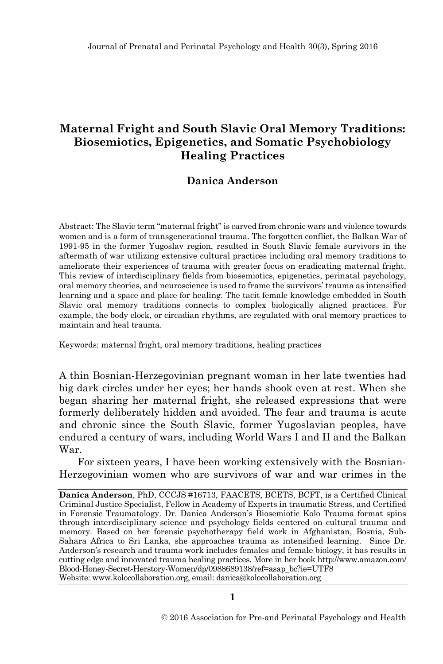# **Maternal Fright and South Slavic Oral Memory Traditions: Biosemiotics, Epigenetics, and Somatic Psychobiology Healing Practices**

# **Danica Anderson**

Abstract: The Slavic term "maternal fright" is carved from chronic wars and violence towards women and is a form of transgenerational trauma. The forgotten conflict, the Balkan War of 1991-95 in the former Yugoslav region, resulted in South Slavic female survivors in the aftermath of war utilizing extensive cultural practices including oral memory traditions to ameliorate their experiences of trauma with greater focus on eradicating maternal fright. This review of interdisciplinary fields from biosemiotics, epigenetics, perinatal psychology, oral memory theories, and neuroscience is used to frame the survivors' trauma as intensified learning and a space and place for healing. The tacit female knowledge embedded in South Slavic oral memory traditions connects to complex biologically aligned practices. For example, the body clock, or circadian rhythms, are regulated with oral memory practices to maintain and heal trauma.

Keywords: maternal fright, oral memory traditions, healing practices

A thin Bosnian-Herzegovinian pregnant woman in her late twenties had big dark circles under her eyes; her hands shook even at rest. When she began sharing her maternal fright, she released expressions that were formerly deliberately hidden and avoided. The fear and trauma is acute and chronic since the South Slavic, former Yugoslavian peoples, have endured a century of wars, including World Wars I and II and the Balkan War.

For sixteen years, I have been working extensively with the Bosnian-Herzegovinian women who are survivors of war and war crimes in the

**1**

**Danica Anderson**, PhD, CCCJS #16713, FAACETS, BCETS, BCFT, is a Certified Clinical Criminal Justice Specialist, Fellow in Academy of Experts in traumatic Stress, and Certified in Forensic Traumatology. Dr. Danica Anderson's Biosemiotic Kolo Trauma format spins through interdisciplinary science and psychology fields centered on cultural trauma and memory. Based on her forensic psychotherapy field work in Afghanistan, Bosnia, Sub-Sahara Africa to Sri Lanka, she approaches trauma as intensified learning. Since Dr. Anderson's research and trauma work includes females and female biology, it has results in cutting edge and innovated trauma healing practices. More in her book http://www.amazon.com/ Blood-Honey-Secret-Herstory-Women/dp/0988689138/ref=asap\_bc?ie=UTF8 Website: www.kolocollaboration.org, email: danica@kolocollaboration.org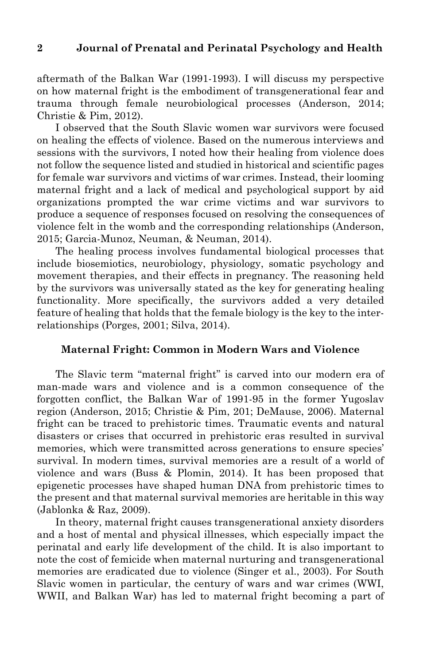aftermath of the Balkan War (1991-1993). I will discuss my perspective on how maternal fright is the embodiment of transgenerational fear and trauma through female neurobiological processes (Anderson, 2014; Christie & Pim, 2012).

I observed that the South Slavic women war survivors were focused on healing the effects of violence. Based on the numerous interviews and sessions with the survivors, I noted how their healing from violence does not follow the sequence listed and studied in historical and scientific pages for female war survivors and victims of war crimes. Instead, their looming maternal fright and a lack of medical and psychological support by aid organizations prompted the war crime victims and war survivors to produce a sequence of responses focused on resolving the consequences of violence felt in the womb and the corresponding relationships (Anderson, 2015; Garcia-Munoz, Neuman, & Neuman, 2014).

The healing process involves fundamental biological processes that include biosemiotics, neurobiology, physiology, somatic psychology and movement therapies, and their effects in pregnancy. The reasoning held by the survivors was universally stated as the key for generating healing functionality. More specifically, the survivors added a very detailed feature of healing that holds that the female biology is the key to the interrelationships (Porges, 2001; Silva, 2014).

### **Maternal Fright: Common in Modern Wars and Violence**

The Slavic term "maternal fright" is carved into our modern era of man-made wars and violence and is a common consequence of the forgotten conflict, the Balkan War of 1991-95 in the former Yugoslav region (Anderson, 2015; Christie & Pim, 201; DeMause, 2006). Maternal fright can be traced to prehistoric times. Traumatic events and natural disasters or crises that occurred in prehistoric eras resulted in survival memories, which were transmitted across generations to ensure species' survival. In modern times, survival memories are a result of a world of violence and wars (Buss & Plomin, 2014). It has been proposed that epigenetic processes have shaped human DNA from prehistoric times to the present and that maternal survival memories are heritable in this way (Jablonka & Raz, 2009).

In theory, maternal fright causes transgenerational anxiety disorders and a host of mental and physical illnesses, which especially impact the perinatal and early life development of the child. It is also important to note the cost of femicide when maternal nurturing and transgenerational memories are eradicated due to violence (Singer et al., 2003). For South Slavic women in particular, the century of wars and war crimes (WWI, WWII, and Balkan War) has led to maternal fright becoming a part of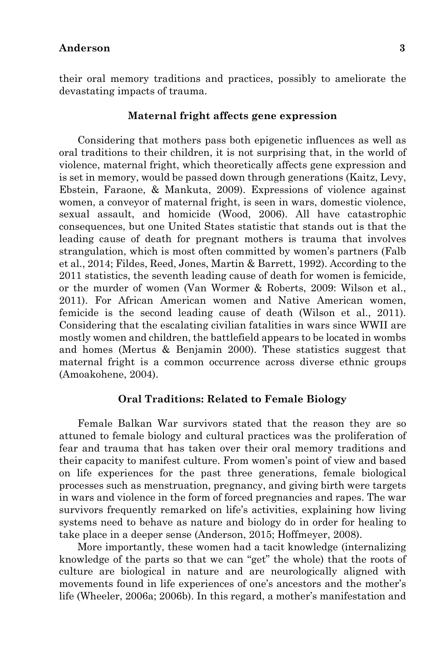their oral memory traditions and practices, possibly to ameliorate the devastating impacts of trauma.

### **Maternal fright affects gene expression**

Considering that mothers pass both epigenetic influences as well as oral traditions to their children, it is not surprising that, in the world of violence, maternal fright, which theoretically affects gene expression and is set in memory, would be passed down through generations (Kaitz, Levy, Ebstein, Faraone, & Mankuta, 2009). Expressions of violence against women, a conveyor of maternal fright, is seen in wars, domestic violence, sexual assault, and homicide (Wood, 2006). All have catastrophic consequences, but one United States statistic that stands out is that the leading cause of death for pregnant mothers is trauma that involves strangulation, which is most often committed by women's partners (Falb et al., 2014; Fildes, Reed, Jones, Martin & Barrett, 1992). According to the 2011 statistics, the seventh leading cause of death for women is femicide, or the murder of women (Van Wormer & Roberts, 2009: Wilson et al., 2011). For African American women and Native American women, femicide is the second leading cause of death (Wilson et al., 2011). Considering that the escalating civilian fatalities in wars since WWII are mostly women and children, the battlefield appears to be located in wombs and homes (Mertus & Benjamin 2000). These statistics suggest that maternal fright is a common occurrence across diverse ethnic groups (Amoakohene, 2004).

#### **Oral Traditions: Related to Female Biology**

Female Balkan War survivors stated that the reason they are so attuned to female biology and cultural practices was the proliferation of fear and trauma that has taken over their oral memory traditions and their capacity to manifest culture. From women's point of view and based on life experiences for the past three generations, female biological processes such as menstruation, pregnancy, and giving birth were targets in wars and violence in the form of forced pregnancies and rapes. The war survivors frequently remarked on life's activities, explaining how living systems need to behave as nature and biology do in order for healing to take place in a deeper sense (Anderson, 2015; Hoffmeyer, 2008).

More importantly, these women had a tacit knowledge (internalizing knowledge of the parts so that we can "get" the whole) that the roots of culture are biological in nature and are neurologically aligned with movements found in life experiences of one's ancestors and the mother's life (Wheeler, 2006a; 2006b). In this regard, a mother's manifestation and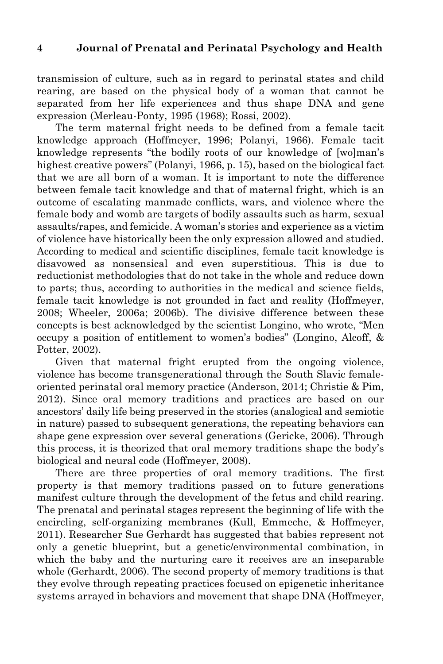transmission of culture, such as in regard to perinatal states and child rearing, are based on the physical body of a woman that cannot be separated from her life experiences and thus shape DNA and gene expression (Merleau-Ponty, 1995 (1968); Rossi, 2002).

The term maternal fright needs to be defined from a female tacit knowledge approach (Hoffmeyer, 1996; Polanyi, 1966). Female tacit knowledge represents "the bodily roots of our knowledge of [wo]man's highest creative powers" (Polanyi, 1966, p. 15), based on the biological fact that we are all born of a woman. It is important to note the difference between female tacit knowledge and that of maternal fright, which is an outcome of escalating manmade conflicts, wars, and violence where the female body and womb are targets of bodily assaults such as harm, sexual assaults/rapes, and femicide. A woman's stories and experience as a victim of violence have historically been the only expression allowed and studied. According to medical and scientific disciplines, female tacit knowledge is disavowed as nonsensical and even superstitious. This is due to reductionist methodologies that do not take in the whole and reduce down to parts; thus, according to authorities in the medical and science fields, female tacit knowledge is not grounded in fact and reality (Hoffmeyer, 2008; Wheeler, 2006a; 2006b). The divisive difference between these concepts is best acknowledged by the scientist Longino, who wrote, "Men occupy a position of entitlement to women's bodies" (Longino, Alcoff, & Potter, 2002).

Given that maternal fright erupted from the ongoing violence, violence has become transgenerational through the South Slavic femaleoriented perinatal oral memory practice (Anderson, 2014; Christie & Pim, 2012). Since oral memory traditions and practices are based on our ancestors' daily life being preserved in the stories (analogical and semiotic in nature) passed to subsequent generations, the repeating behaviors can shape gene expression over several generations (Gericke, 2006). Through this process, it is theorized that oral memory traditions shape the body's biological and neural code (Hoffmeyer, 2008).

There are three properties of oral memory traditions. The first property is that memory traditions passed on to future generations manifest culture through the development of the fetus and child rearing. The prenatal and perinatal stages represent the beginning of life with the encircling, self-organizing membranes (Kull, Emmeche, & Hoffmeyer, 2011). Researcher Sue Gerhardt has suggested that babies represent not only a genetic blueprint, but a genetic/environmental combination, in which the baby and the nurturing care it receives are an inseparable whole (Gerhardt, 2006). The second property of memory traditions is that they evolve through repeating practices focused on epigenetic inheritance systems arrayed in behaviors and movement that shape DNA (Hoffmeyer,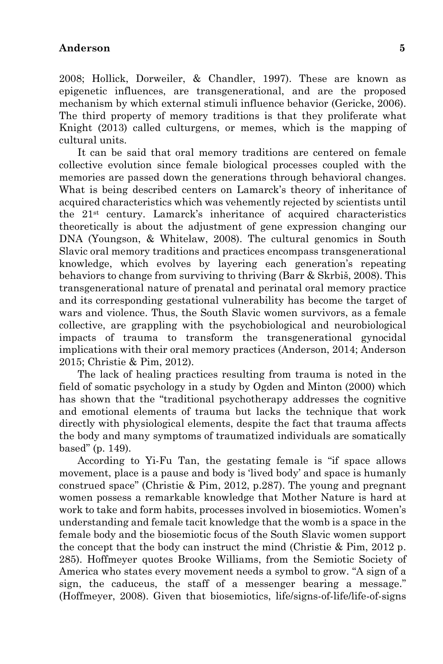2008; Hollick, Dorweiler, & Chandler, 1997). These are known as epigenetic influences, are transgenerational, and are the proposed mechanism by which external stimuli influence behavior (Gericke, 2006). The third property of memory traditions is that they proliferate what Knight (2013) called culturgens, or memes, which is the mapping of cultural units.

It can be said that oral memory traditions are centered on female collective evolution since female biological processes coupled with the memories are passed down the generations through behavioral changes. What is being described centers on Lamarck's theory of inheritance of acquired characteristics which was vehemently rejected by scientists until the 21st century. Lamarck's inheritance of acquired characteristics theoretically is about the adjustment of gene expression changing our DNA (Youngson, & Whitelaw, 2008). The cultural genomics in South Slavic oral memory traditions and practices encompass transgenerational knowledge, which evolves by layering each generation's repeating behaviors to change from surviving to thriving (Barr & Skrbiš, 2008). This transgenerational nature of prenatal and perinatal oral memory practice and its corresponding gestational vulnerability has become the target of wars and violence. Thus, the South Slavic women survivors, as a female collective, are grappling with the psychobiological and neurobiological impacts of trauma to transform the transgenerational gynocidal implications with their oral memory practices (Anderson, 2014; Anderson 2015; Christie & Pim, 2012).

The lack of healing practices resulting from trauma is noted in the field of somatic psychology in a study by Ogden and Minton (2000) which has shown that the "traditional psychotherapy addresses the cognitive and emotional elements of trauma but lacks the technique that work directly with physiological elements, despite the fact that trauma affects the body and many symptoms of traumatized individuals are somatically based" (p. 149).

According to Yi-Fu Tan, the gestating female is "if space allows movement, place is a pause and body is 'lived body' and space is humanly construed space" (Christie & Pim, 2012, p.287). The young and pregnant women possess a remarkable knowledge that Mother Nature is hard at work to take and form habits, processes involved in biosemiotics. Women's understanding and female tacit knowledge that the womb is a space in the female body and the biosemiotic focus of the South Slavic women support the concept that the body can instruct the mind (Christie & Pim, 2012 p. 285). Hoffmeyer quotes Brooke Williams, from the Semiotic Society of America who states every movement needs a symbol to grow. "A sign of a sign, the caduceus, the staff of a messenger bearing a message." (Hoffmeyer, 2008). Given that biosemiotics, life/signs-of-life/life-of-signs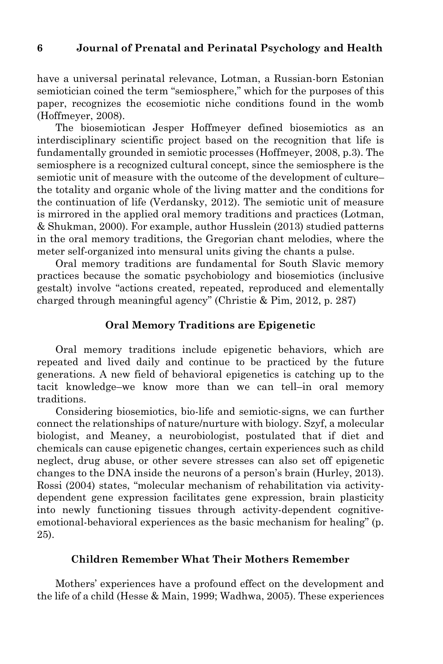have a universal perinatal relevance, Lotman, a Russian-born Estonian semiotician coined the term "semiosphere," which for the purposes of this paper, recognizes the ecosemiotic niche conditions found in the womb (Hoffmeyer, 2008).

The biosemiotican Jesper Hoffmeyer defined biosemiotics as an interdisciplinary scientific project based on the recognition that life is fundamentally grounded in semiotic processes (Hoffmeyer, 2008, p.3). The semiosphere is a recognized cultural concept, since the semiosphere is the semiotic unit of measure with the outcome of the development of culture– the totality and organic whole of the living matter and the conditions for the continuation of life (Verdansky, 2012). The semiotic unit of measure is mirrored in the applied oral memory traditions and practices (Lotman, & Shukman, 2000). For example, author Husslein (2013) studied patterns in the oral memory traditions, the Gregorian chant melodies, where the meter self-organized into mensural units giving the chants a pulse.

Oral memory traditions are fundamental for South Slavic memory practices because the somatic psychobiology and biosemiotics (inclusive gestalt) involve "actions created, repeated, reproduced and elementally charged through meaningful agency" (Christie & Pim, 2012, p. 287)

### **Oral Memory Traditions are Epigenetic**

Oral memory traditions include epigenetic behaviors, which are repeated and lived daily and continue to be practiced by the future generations. A new field of behavioral epigenetics is catching up to the tacit knowledge–we know more than we can tell–in oral memory traditions.

Considering biosemiotics, bio-life and semiotic-signs, we can further connect the relationships of nature/nurture with biology. Szyf, a molecular biologist, and Meaney, a neurobiologist, postulated that if diet and chemicals can cause epigenetic changes, certain experiences such as child neglect, drug abuse, or other severe stresses can also set off epigenetic changes to the DNA inside the neurons of a person's brain (Hurley, 2013). Rossi (2004) states, "molecular mechanism of rehabilitation via activitydependent gene expression facilitates gene expression, brain plasticity into newly functioning tissues through activity-dependent cognitiveemotional-behavioral experiences as the basic mechanism for healing" (p. 25).

### **Children Remember What Their Mothers Remember**

Mothers' experiences have a profound effect on the development and the life of a child (Hesse & Main, 1999; Wadhwa, 2005). These experiences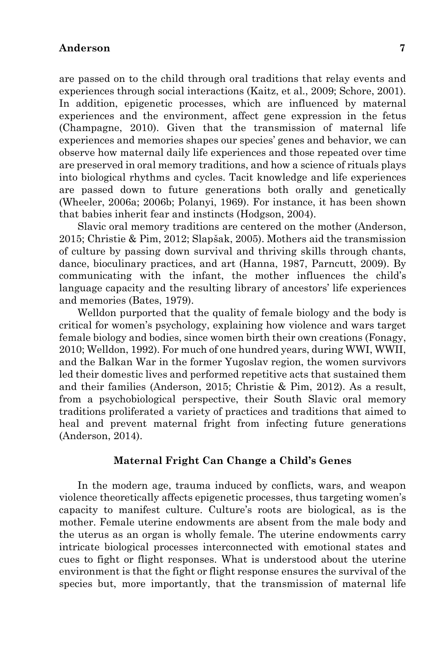are passed on to the child through oral traditions that relay events and experiences through social interactions (Kaitz, et al., 2009; Schore, 2001). In addition, epigenetic processes, which are influenced by maternal experiences and the environment, affect gene expression in the fetus (Champagne, 2010). Given that the transmission of maternal life experiences and memories shapes our species' genes and behavior, we can observe how maternal daily life experiences and those repeated over time are preserved in oral memory traditions, and how a science of rituals plays into biological rhythms and cycles. Tacit knowledge and life experiences are passed down to future generations both orally and genetically (Wheeler, 2006a; 2006b; Polanyi, 1969). For instance, it has been shown that babies inherit fear and instincts (Hodgson, 2004).

Slavic oral memory traditions are centered on the mother (Anderson, 2015; Christie & Pim, 2012; Slapšak, 2005). Mothers aid the transmission of culture by passing down survival and thriving skills through chants, dance, bioculinary practices, and art (Hanna, 1987, Parncutt, 2009). By communicating with the infant, the mother influences the child's language capacity and the resulting library of ancestors' life experiences and memories (Bates, 1979).

Welldon purported that the quality of female biology and the body is critical for women's psychology, explaining how violence and wars target female biology and bodies, since women birth their own creations (Fonagy, 2010; Welldon, 1992). For much of one hundred years, during WWI, WWII, and the Balkan War in the former Yugoslav region, the women survivors led their domestic lives and performed repetitive acts that sustained them and their families (Anderson, 2015; Christie & Pim, 2012). As a result, from a psychobiological perspective, their South Slavic oral memory traditions proliferated a variety of practices and traditions that aimed to heal and prevent maternal fright from infecting future generations (Anderson, 2014).

### **Maternal Fright Can Change a Child's Genes**

In the modern age, trauma induced by conflicts, wars, and weapon violence theoretically affects epigenetic processes, thus targeting women's capacity to manifest culture. Culture's roots are biological, as is the mother. Female uterine endowments are absent from the male body and the uterus as an organ is wholly female. The uterine endowments carry intricate biological processes interconnected with emotional states and cues to fight or flight responses. What is understood about the uterine environment is that the fight or flight response ensures the survival of the species but, more importantly, that the transmission of maternal life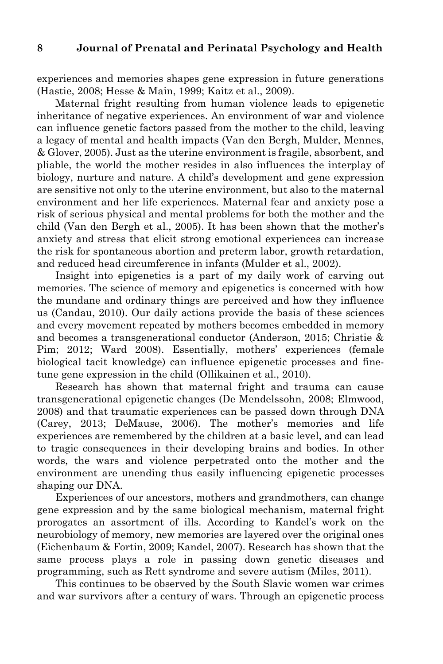experiences and memories shapes gene expression in future generations (Hastie, 2008; Hesse & Main, 1999; Kaitz et al., 2009).

Maternal fright resulting from human violence leads to epigenetic inheritance of negative experiences. An environment of war and violence can influence genetic factors passed from the mother to the child, leaving a legacy of mental and health impacts (Van den Bergh, Mulder, Mennes, & Glover, 2005). Just as the uterine environment is fragile, absorbent, and pliable, the world the mother resides in also influences the interplay of biology, nurture and nature. A child's development and gene expression are sensitive not only to the uterine environment, but also to the maternal environment and her life experiences. Maternal fear and anxiety pose a risk of serious physical and mental problems for both the mother and the child (Van den Bergh et al., 2005). It has been shown that the mother's anxiety and stress that elicit strong emotional experiences can increase the risk for spontaneous abortion and preterm labor, growth retardation, and reduced head circumference in infants (Mulder et al., 2002).

Insight into epigenetics is a part of my daily work of carving out memories. The science of memory and epigenetics is concerned with how the mundane and ordinary things are perceived and how they influence us (Candau, 2010). Our daily actions provide the basis of these sciences and every movement repeated by mothers becomes embedded in memory and becomes a transgenerational conductor (Anderson, 2015; Christie & Pim; 2012; Ward 2008). Essentially, mothers' experiences (female biological tacit knowledge) can influence epigenetic processes and finetune gene expression in the child (Ollikainen et al., 2010).

Research has shown that maternal fright and trauma can cause transgenerational epigenetic changes (De Mendelssohn, 2008; Elmwood, 2008) and that traumatic experiences can be passed down through DNA (Carey, 2013; DeMause, 2006). The mother's memories and life experiences are remembered by the children at a basic level, and can lead to tragic consequences in their developing brains and bodies. In other words, the wars and violence perpetrated onto the mother and the environment are unending thus easily influencing epigenetic processes shaping our DNA.

Experiences of our ancestors, mothers and grandmothers, can change gene expression and by the same biological mechanism, maternal fright prorogates an assortment of ills. According to Kandel's work on the neurobiology of memory, new memories are layered over the original ones (Eichenbaum & Fortin, 2009; Kandel, 2007). Research has shown that the same process plays a role in passing down genetic diseases and programming, such as Rett syndrome and severe autism (Miles, 2011).

This continues to be observed by the South Slavic women war crimes and war survivors after a century of wars. Through an epigenetic process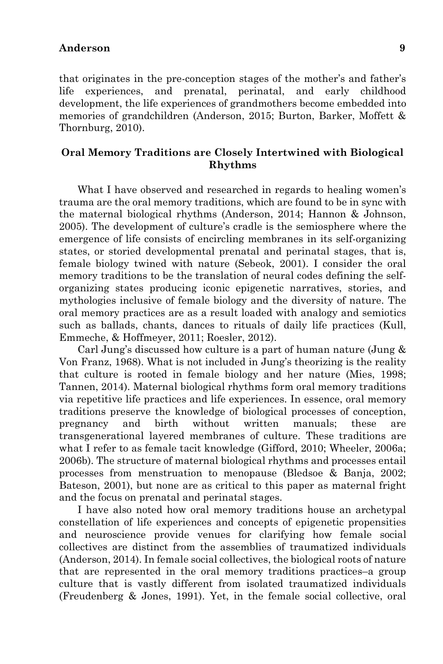that originates in the pre-conception stages of the mother's and father's life experiences, and prenatal, perinatal, and early childhood development, the life experiences of grandmothers become embedded into memories of grandchildren (Anderson, 2015; Burton, Barker, Moffett & Thornburg, 2010).

# **Oral Memory Traditions are Closely Intertwined with Biological Rhythms**

What I have observed and researched in regards to healing women's trauma are the oral memory traditions, which are found to be in sync with the maternal biological rhythms (Anderson, 2014; Hannon & Johnson, 2005). The development of culture's cradle is the semiosphere where the emergence of life consists of encircling membranes in its self-organizing states, or storied developmental prenatal and perinatal stages, that is, female biology twined with nature (Sebeok, 2001). I consider the oral memory traditions to be the translation of neural codes defining the selforganizing states producing iconic epigenetic narratives, stories, and mythologies inclusive of female biology and the diversity of nature. The oral memory practices are as a result loaded with analogy and semiotics such as ballads, chants, dances to rituals of daily life practices (Kull, Emmeche, & Hoffmeyer, 2011; Roesler, 2012).

Carl Jung's discussed how culture is a part of human nature (Jung & Von Franz, 1968). What is not included in Jung's theorizing is the reality that culture is rooted in female biology and her nature (Mies, 1998; Tannen, 2014). Maternal biological rhythms form oral memory traditions via repetitive life practices and life experiences. In essence, oral memory traditions preserve the knowledge of biological processes of conception, pregnancy and birth without written manuals; these are transgenerational layered membranes of culture. These traditions are what I refer to as female tacit knowledge (Gifford, 2010; Wheeler, 2006a; 2006b). The structure of maternal biological rhythms and processes entail processes from menstruation to menopause (Bledsoe & Banja, 2002; Bateson, 2001), but none are as critical to this paper as maternal fright and the focus on prenatal and perinatal stages.

I have also noted how oral memory traditions house an archetypal constellation of life experiences and concepts of epigenetic propensities and neuroscience provide venues for clarifying how female social collectives are distinct from the assemblies of traumatized individuals (Anderson, 2014). In female social collectives, the biological roots of nature that are represented in the oral memory traditions practices–a group culture that is vastly different from isolated traumatized individuals (Freudenberg & Jones, 1991). Yet, in the female social collective, oral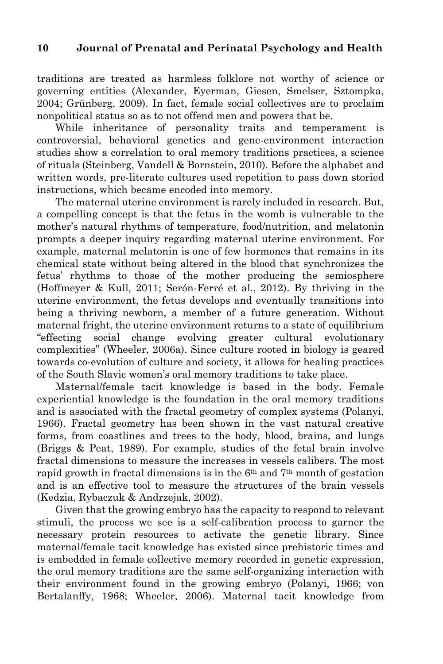traditions are treated as harmless folklore not worthy of science or governing entities (Alexander, Eyerman, Giesen, Smelser, Sztompka, 2004; Grünberg, 2009). In fact, female social collectives are to proclaim nonpolitical status so as to not offend men and powers that be.

While inheritance of personality traits and temperament is controversial, behavioral genetics and gene-environment interaction studies show a correlation to oral memory traditions practices, a science of rituals (Steinberg, Vandell & Bornstein, 2010). Before the alphabet and written words, pre-literate cultures used repetition to pass down storied instructions, which became encoded into memory.

The maternal uterine environment is rarely included in research. But, a compelling concept is that the fetus in the womb is vulnerable to the mother's natural rhythms of temperature, food/nutrition, and melatonin prompts a deeper inquiry regarding maternal uterine environment. For example, maternal melatonin is one of few hormones that remains in its chemical state without being altered in the blood that synchronizes the fetus' rhythms to those of the mother producing the semiosphere (Hoffmeyer & Kull, 2011; Serón-Ferré et al., 2012). By thriving in the uterine environment, the fetus develops and eventually transitions into being a thriving newborn, a member of a future generation. Without maternal fright, the uterine environment returns to a state of equilibrium "effecting social change evolving greater cultural evolutionary complexities" (Wheeler, 2006a). Since culture rooted in biology is geared towards co-evolution of culture and society, it allows for healing practices of the South Slavic women's oral memory traditions to take place.

Maternal/female tacit knowledge is based in the body. Female experiential knowledge is the foundation in the oral memory traditions and is associated with the fractal geometry of complex systems (Polanyi, 1966). Fractal geometry has been shown in the vast natural creative forms, from coastlines and trees to the body, blood, brains, and lungs (Briggs & Peat, 1989). For example, studies of the fetal brain involve fractal dimensions to measure the increases in vessels calibers. The most rapid growth in fractal dimensions is in the  $6<sup>th</sup>$  and  $7<sup>th</sup>$  month of gestation and is an effective tool to measure the structures of the brain vessels (Kedzia, Rybaczuk & Andrzejak, 2002).

Given that the growing embryo has the capacity to respond to relevant stimuli, the process we see is a self-calibration process to garner the necessary protein resources to activate the genetic library. Since maternal/female tacit knowledge has existed since prehistoric times and is embedded in female collective memory recorded in genetic expression, the oral memory traditions are the same self-organizing interaction with their environment found in the growing embryo (Polanyi, 1966; von Bertalanffy, 1968; Wheeler, 2006). Maternal tacit knowledge from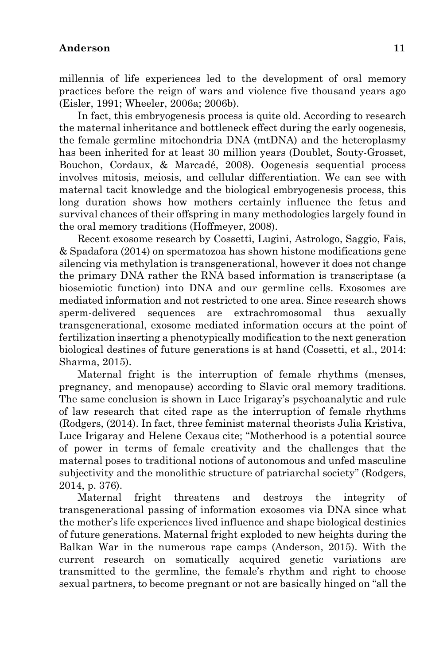millennia of life experiences led to the development of oral memory practices before the reign of wars and violence five thousand years ago (Eisler, 1991; Wheeler, 2006a; 2006b).

In fact, this embryogenesis process is quite old. According to research the maternal inheritance and bottleneck effect during the early oogenesis, the female germline mitochondria DNA (mtDNA) and the heteroplasmy has been inherited for at least 30 million years (Doublet, Souty-Grosset, Bouchon, Cordaux, & Marcadé, 2008). Oogenesis sequential process involves mitosis, meiosis, and cellular differentiation. We can see with maternal tacit knowledge and the biological embryogenesis process, this long duration shows how mothers certainly influence the fetus and survival chances of their offspring in many methodologies largely found in the oral memory traditions (Hoffmeyer, 2008).

Recent exosome research by Cossetti, Lugini, Astrologo, Saggio, Fais, & Spadafora (2014) on spermatozoa has shown histone modifications gene silencing via methylation is transgenerational, however it does not change the primary DNA rather the RNA based information is transcriptase (a biosemiotic function) into DNA and our germline cells. Exosomes are mediated information and not restricted to one area. Since research shows sperm-delivered sequences are extrachromosomal thus sexually transgenerational, exosome mediated information occurs at the point of fertilization inserting a phenotypically modification to the next generation biological destines of future generations is at hand (Cossetti, et al., 2014: Sharma, 2015).

Maternal fright is the interruption of female rhythms (menses, pregnancy, and menopause) according to Slavic oral memory traditions. The same conclusion is shown in Luce Irigaray's psychoanalytic and rule of law research that cited rape as the interruption of female rhythms (Rodgers, (2014). In fact, three feminist maternal theorists Julia Kristiva, Luce Irigaray and Helene Cexaus cite; "Motherhood is a potential source of power in terms of female creativity and the challenges that the maternal poses to traditional notions of autonomous and unfed masculine subjectivity and the monolithic structure of patriarchal society" (Rodgers, 2014, p. 376).

Maternal fright threatens and destroys the integrity of transgenerational passing of information exosomes via DNA since what the mother's life experiences lived influence and shape biological destinies of future generations. Maternal fright exploded to new heights during the Balkan War in the numerous rape camps (Anderson, 2015). With the current research on somatically acquired genetic variations are transmitted to the germline, the female's rhythm and right to choose sexual partners, to become pregnant or not are basically hinged on "all the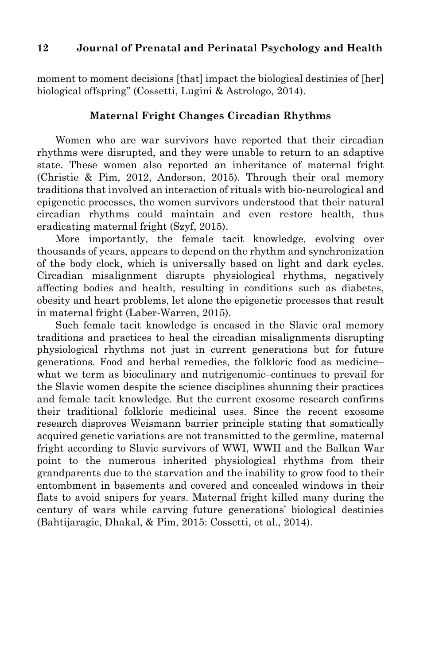moment to moment decisions [that] impact the biological destinies of [her] biological offspring" (Cossetti, Lugini & Astrologo, 2014).

### **Maternal Fright Changes Circadian Rhythms**

Women who are war survivors have reported that their circadian rhythms were disrupted, and they were unable to return to an adaptive state. These women also reported an inheritance of maternal fright (Christie & Pim, 2012, Anderson, 2015). Through their oral memory traditions that involved an interaction of rituals with bio-neurological and epigenetic processes, the women survivors understood that their natural circadian rhythms could maintain and even restore health, thus eradicating maternal fright (Szyf, 2015).

More importantly, the female tacit knowledge, evolving over thousands of years, appears to depend on the rhythm and synchronization of the body clock, which is universally based on light and dark cycles. Circadian misalignment disrupts physiological rhythms, negatively affecting bodies and health, resulting in conditions such as diabetes, obesity and heart problems, let alone the epigenetic processes that result in maternal fright (Laber-Warren, 2015).

Such female tacit knowledge is encased in the Slavic oral memory traditions and practices to heal the circadian misalignments disrupting physiological rhythms not just in current generations but for future generations. Food and herbal remedies, the folkloric food as medicine– what we term as bioculinary and nutrigenomic–continues to prevail for the Slavic women despite the science disciplines shunning their practices and female tacit knowledge. But the current exosome research confirms their traditional folkloric medicinal uses. Since the recent exosome research disproves Weismann barrier principle stating that somatically acquired genetic variations are not transmitted to the germline, maternal fright according to Slavic survivors of WWI, WWII and the Balkan War point to the numerous inherited physiological rhythms from their grandparents due to the starvation and the inability to grow food to their entombment in basements and covered and concealed windows in their flats to avoid snipers for years. Maternal fright killed many during the century of wars while carving future generations' biological destinies (Bahtijaragic, Dhakal, & Pim, 2015: Cossetti, et al., 2014).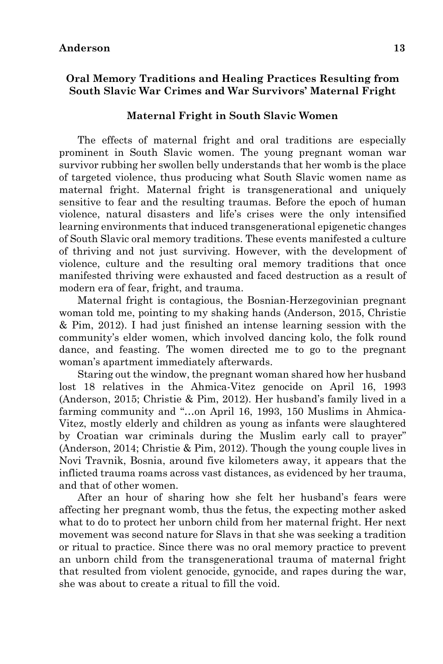# **Oral Memory Traditions and Healing Practices Resulting from South Slavic War Crimes and War Survivors' Maternal Fright**

### **Maternal Fright in South Slavic Women**

The effects of maternal fright and oral traditions are especially prominent in South Slavic women. The young pregnant woman war survivor rubbing her swollen belly understands that her womb is the place of targeted violence, thus producing what South Slavic women name as maternal fright. Maternal fright is transgenerational and uniquely sensitive to fear and the resulting traumas. Before the epoch of human violence, natural disasters and life's crises were the only intensified learning environments that induced transgenerational epigenetic changes of South Slavic oral memory traditions. These events manifested a culture of thriving and not just surviving. However, with the development of violence, culture and the resulting oral memory traditions that once manifested thriving were exhausted and faced destruction as a result of modern era of fear, fright, and trauma.

Maternal fright is contagious, the Bosnian-Herzegovinian pregnant woman told me, pointing to my shaking hands (Anderson, 2015, Christie & Pim, 2012). I had just finished an intense learning session with the community's elder women, which involved dancing kolo, the folk round dance, and feasting. The women directed me to go to the pregnant woman's apartment immediately afterwards.

Staring out the window, the pregnant woman shared how her husband lost 18 relatives in the Ahmica-Vitez genocide on April 16, 1993 (Anderson, 2015; Christie & Pim, 2012). Her husband's family lived in a farming community and "…on April 16, 1993, 150 Muslims in Ahmica-Vitez, mostly elderly and children as young as infants were slaughtered by Croatian war criminals during the Muslim early call to prayer" (Anderson, 2014; Christie & Pim, 2012). Though the young couple lives in Novi Travnik, Bosnia, around five kilometers away, it appears that the inflicted trauma roams across vast distances, as evidenced by her trauma, and that of other women.

After an hour of sharing how she felt her husband's fears were affecting her pregnant womb, thus the fetus, the expecting mother asked what to do to protect her unborn child from her maternal fright. Her next movement was second nature for Slavs in that she was seeking a tradition or ritual to practice. Since there was no oral memory practice to prevent an unborn child from the transgenerational trauma of maternal fright that resulted from violent genocide, gynocide, and rapes during the war, she was about to create a ritual to fill the void.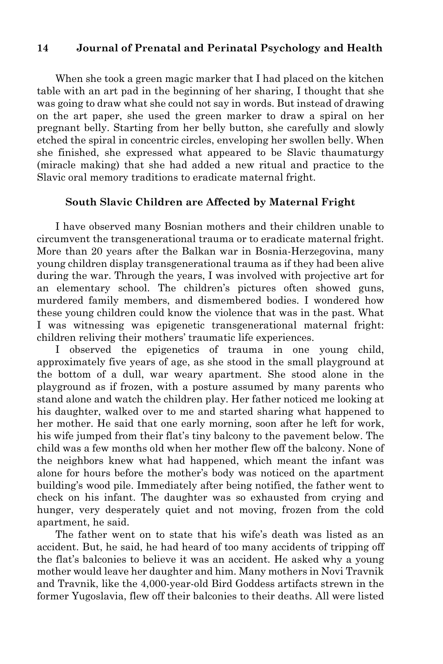When she took a green magic marker that I had placed on the kitchen table with an art pad in the beginning of her sharing, I thought that she was going to draw what she could not say in words. But instead of drawing on the art paper, she used the green marker to draw a spiral on her pregnant belly. Starting from her belly button, she carefully and slowly etched the spiral in concentric circles, enveloping her swollen belly. When she finished, she expressed what appeared to be Slavic thaumaturgy (miracle making) that she had added a new ritual and practice to the Slavic oral memory traditions to eradicate maternal fright.

### **South Slavic Children are Affected by Maternal Fright**

I have observed many Bosnian mothers and their children unable to circumvent the transgenerational trauma or to eradicate maternal fright. More than 20 years after the Balkan war in Bosnia-Herzegovina, many young children display transgenerational trauma as if they had been alive during the war. Through the years, I was involved with projective art for an elementary school. The children's pictures often showed guns, murdered family members, and dismembered bodies. I wondered how these young children could know the violence that was in the past. What I was witnessing was epigenetic transgenerational maternal fright: children reliving their mothers' traumatic life experiences.

I observed the epigenetics of trauma in one young child, approximately five years of age, as she stood in the small playground at the bottom of a dull, war weary apartment. She stood alone in the playground as if frozen, with a posture assumed by many parents who stand alone and watch the children play. Her father noticed me looking at his daughter, walked over to me and started sharing what happened to her mother. He said that one early morning, soon after he left for work, his wife jumped from their flat's tiny balcony to the pavement below. The child was a few months old when her mother flew off the balcony. None of the neighbors knew what had happened, which meant the infant was alone for hours before the mother's body was noticed on the apartment building's wood pile. Immediately after being notified, the father went to check on his infant. The daughter was so exhausted from crying and hunger, very desperately quiet and not moving, frozen from the cold apartment, he said.

The father went on to state that his wife's death was listed as an accident. But, he said, he had heard of too many accidents of tripping off the flat's balconies to believe it was an accident. He asked why a young mother would leave her daughter and him. Many mothers in Novi Travnik and Travnik, like the 4,000-year-old Bird Goddess artifacts strewn in the former Yugoslavia, flew off their balconies to their deaths. All were listed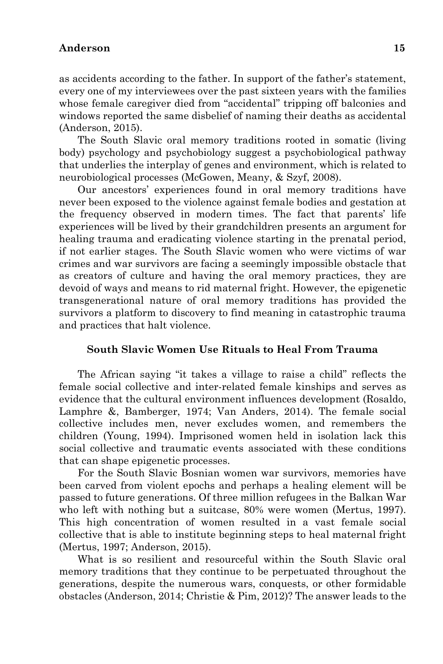as accidents according to the father. In support of the father's statement, every one of my interviewees over the past sixteen years with the families whose female caregiver died from "accidental" tripping off balconies and windows reported the same disbelief of naming their deaths as accidental (Anderson, 2015).

The South Slavic oral memory traditions rooted in somatic (living body) psychology and psychobiology suggest a psychobiological pathway that underlies the interplay of genes and environment, which is related to neurobiological processes (McGowen, Meany, & Szyf, 2008).

Our ancestors' experiences found in oral memory traditions have never been exposed to the violence against female bodies and gestation at the frequency observed in modern times. The fact that parents' life experiences will be lived by their grandchildren presents an argument for healing trauma and eradicating violence starting in the prenatal period, if not earlier stages. The South Slavic women who were victims of war crimes and war survivors are facing a seemingly impossible obstacle that as creators of culture and having the oral memory practices, they are devoid of ways and means to rid maternal fright. However, the epigenetic transgenerational nature of oral memory traditions has provided the survivors a platform to discovery to find meaning in catastrophic trauma and practices that halt violence.

### **South Slavic Women Use Rituals to Heal From Trauma**

The African saying "it takes a village to raise a child" reflects the female social collective and inter-related female kinships and serves as evidence that the cultural environment influences development (Rosaldo, Lamphre &, Bamberger, 1974; Van Anders, 2014). The female social collective includes men, never excludes women, and remembers the children (Young, 1994). Imprisoned women held in isolation lack this social collective and traumatic events associated with these conditions that can shape epigenetic processes.

For the South Slavic Bosnian women war survivors, memories have been carved from violent epochs and perhaps a healing element will be passed to future generations. Of three million refugees in the Balkan War who left with nothing but a suitcase, 80% were women (Mertus, 1997). This high concentration of women resulted in a vast female social collective that is able to institute beginning steps to heal maternal fright (Mertus, 1997; Anderson, 2015).

What is so resilient and resourceful within the South Slavic oral memory traditions that they continue to be perpetuated throughout the generations, despite the numerous wars, conquests, or other formidable obstacles (Anderson, 2014; Christie & Pim, 2012)? The answer leads to the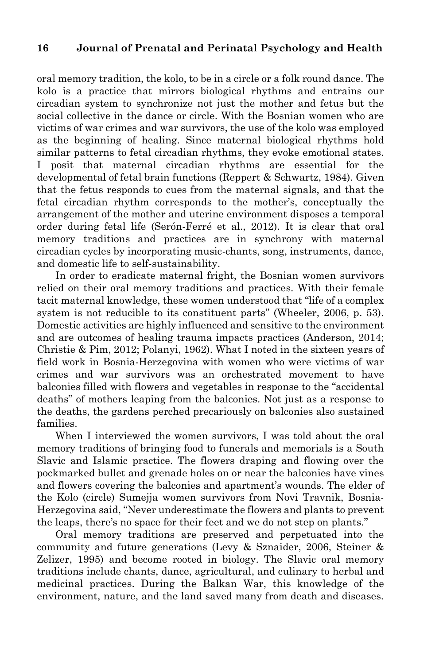oral memory tradition, the kolo, to be in a circle or a folk round dance. The kolo is a practice that mirrors biological rhythms and entrains our circadian system to synchronize not just the mother and fetus but the social collective in the dance or circle. With the Bosnian women who are victims of war crimes and war survivors, the use of the kolo was employed as the beginning of healing. Since maternal biological rhythms hold similar patterns to fetal circadian rhythms, they evoke emotional states. I posit that maternal circadian rhythms are essential for the developmental of fetal brain functions (Reppert & Schwartz, 1984). Given that the fetus responds to cues from the maternal signals, and that the fetal circadian rhythm corresponds to the mother's, conceptually the arrangement of the mother and uterine environment disposes a temporal order during fetal life (Serón-Ferré et al., 2012). It is clear that oral memory traditions and practices are in synchrony with maternal circadian cycles by incorporating music-chants, song, instruments, dance, and domestic life to self-sustainability.

In order to eradicate maternal fright, the Bosnian women survivors relied on their oral memory traditions and practices. With their female tacit maternal knowledge, these women understood that "life of a complex system is not reducible to its constituent parts" (Wheeler, 2006, p. 53). Domestic activities are highly influenced and sensitive to the environment and are outcomes of healing trauma impacts practices (Anderson, 2014; Christie & Pim, 2012; Polanyi, 1962). What I noted in the sixteen years of field work in Bosnia-Herzegovina with women who were victims of war crimes and war survivors was an orchestrated movement to have balconies filled with flowers and vegetables in response to the "accidental deaths" of mothers leaping from the balconies. Not just as a response to the deaths, the gardens perched precariously on balconies also sustained families.

When I interviewed the women survivors, I was told about the oral memory traditions of bringing food to funerals and memorials is a South Slavic and Islamic practice. The flowers draping and flowing over the pockmarked bullet and grenade holes on or near the balconies have vines and flowers covering the balconies and apartment's wounds. The elder of the Kolo (circle) Sumejja women survivors from Novi Travnik, Bosnia-Herzegovina said, "Never underestimate the flowers and plants to prevent the leaps, there's no space for their feet and we do not step on plants."

Oral memory traditions are preserved and perpetuated into the community and future generations (Levy & Sznaider, 2006, Steiner & Zelizer, 1995) and become rooted in biology. The Slavic oral memory traditions include chants, dance, agricultural, and culinary to herbal and medicinal practices. During the Balkan War, this knowledge of the environment, nature, and the land saved many from death and diseases.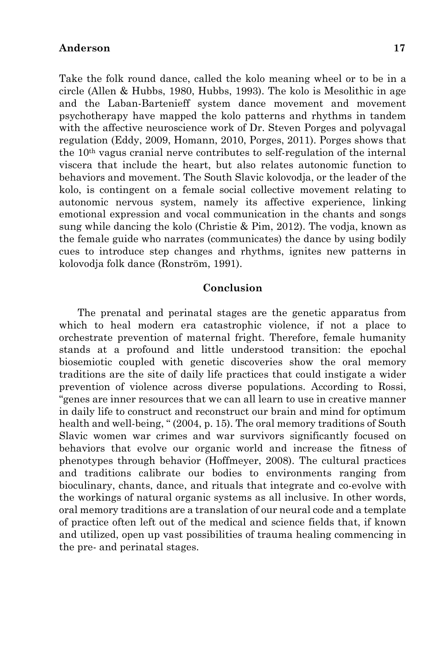Take the folk round dance, called the kolo meaning wheel or to be in a circle (Allen & Hubbs, 1980, Hubbs, 1993). The kolo is Mesolithic in age and the Laban-Bartenieff system dance movement and movement psychotherapy have mapped the kolo patterns and rhythms in tandem with the affective neuroscience work of Dr. Steven Porges and polyvagal regulation (Eddy, 2009, Homann, 2010, Porges, 2011). Porges shows that the 10th vagus cranial nerve contributes to self-regulation of the internal viscera that include the heart, but also relates autonomic function to behaviors and movement. The South Slavic kolovodja, or the leader of the kolo, is contingent on a female social collective movement relating to autonomic nervous system, namely its affective experience, linking emotional expression and vocal communication in the chants and songs sung while dancing the kolo (Christie & Pim, 2012). The vodja, known as the female guide who narrates (communicates) the dance by using bodily cues to introduce step changes and rhythms, ignites new patterns in kolovodja folk dance (Ronström, 1991).

### **Conclusion**

The prenatal and perinatal stages are the genetic apparatus from which to heal modern era catastrophic violence, if not a place to orchestrate prevention of maternal fright. Therefore, female humanity stands at a profound and little understood transition: the epochal biosemiotic coupled with genetic discoveries show the oral memory traditions are the site of daily life practices that could instigate a wider prevention of violence across diverse populations. According to Rossi, "genes are inner resources that we can all learn to use in creative manner in daily life to construct and reconstruct our brain and mind for optimum health and well-being, " (2004, p. 15). The oral memory traditions of South Slavic women war crimes and war survivors significantly focused on behaviors that evolve our organic world and increase the fitness of phenotypes through behavior (Hoffmeyer, 2008). The cultural practices and traditions calibrate our bodies to environments ranging from bioculinary, chants, dance, and rituals that integrate and co-evolve with the workings of natural organic systems as all inclusive. In other words, oral memory traditions are a translation of our neural code and a template of practice often left out of the medical and science fields that, if known and utilized, open up vast possibilities of trauma healing commencing in the pre- and perinatal stages.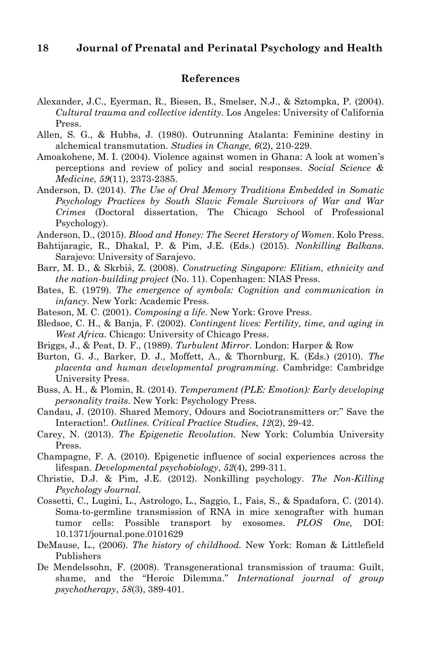### **References**

- Alexander, J.C., Eyerman, R., Biesen, B., Smelser, N.J., & Sztompka, P. (2004). *Cultural trauma and collective identity.* Los Angeles: University of California Press.
- Allen, S. G., & Hubbs, J. (1980). Outrunning Atalanta: Feminine destiny in alchemical transmutation. *Studies in Change, 6*(2), 210-229.
- Amoakohene, M. I. (2004). Violence against women in Ghana: A look at women's perceptions and review of policy and social responses. *Social Science & Medicine*, *59*(11), 2373-2385.
- Anderson, D. (2014). *The Use of Oral Memory Traditions Embedded in Somatic Psychology Practices by South Slavic Female Survivors of War and War Crimes* (Doctoral dissertation, The Chicago School of Professional Psychology).

Anderson, D., (2015). *Blood and Honey: The Secret Herstory of Women*. Kolo Press.

- Bahtijaragic, R., Dhakal, P. & Pim, J.E. (Eds.) (2015). *Nonkilling Balkans.*  Sarajevo: University of Sarajevo.
- Barr, M. D., & Skrbiš, Z. (2008). *Constructing Singapore: Elitism, ethnicity and the nation-building project* (No. 11). Copenhagen: NIAS Press.
- Bates, E. (1979). *The emergence of symbols: Cognition and communication in infancy*. New York: Academic Press.
- Bateson, M. C. (2001). *Composing a life*. New York: Grove Press.
- Bledsoe, C. H., & Banja, F. (2002). *Contingent lives: Fertility, time, and aging in West Africa*. Chicago: University of Chicago Press.
- Briggs, J., & Peat, D. F., (1989). *Turbulent Mirror.* London: Harper & Row
- Burton, G. J., Barker, D. J., Moffett, A., & Thornburg, K. (Eds.) (2010). *The placenta and human developmental programming*. Cambridge: Cambridge University Press.
- Buss, A. H., & Plomin, R. (2014). *Temperament (PLE: Emotion): Early developing personality traits*. New York: Psychology Press.
- Candau, J. (2010). Shared Memory, Odours and Sociotransmitters or:" Save the Interaction!. *Outlines. Critical Practice Studies*, *12*(2), 29-42.
- Carey, N. (2013). *The Epigenetic Revolution.* New York: Columbia University Press.
- Champagne, F. A. (2010). Epigenetic influence of social experiences across the lifespan. *Developmental psychobiology*, *52*(4), 299-311.
- Christie, D.J. & Pim, J.E. (2012). Nonkilling psychology. *The Non-Killing Psychology Journal.*
- Cossetti, C., Lugini, L., Astrologo, L., Saggio, I., Fais, S., & Spadafora, C. (2014). Soma-to-germline transmission of RNA in mice xenografter with human tumor cells: Possible transport by exosomes. *PLOS One,* DOI: 10.1371/journal.pone.0101629
- DeMause, L., (2006). *The history of childhood.* New York: Roman & Littlefield Publishers
- De Mendelssohn, F. (2008). Transgenerational transmission of trauma: Guilt, shame, and the "Heroic Dilemma." *International journal of group psychotherapy*, *58*(3), 389-401.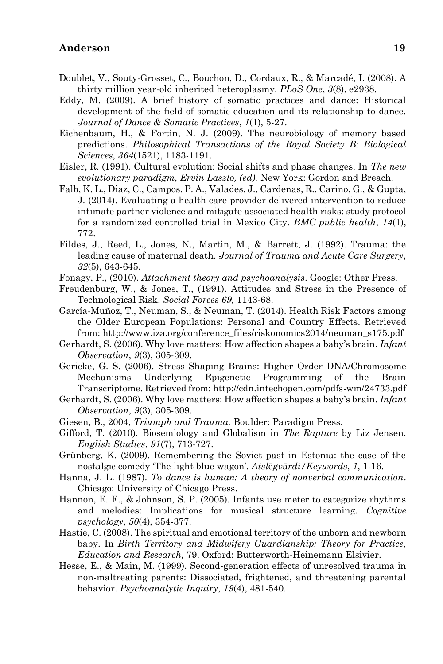- Doublet, V., Souty-Grosset, C., Bouchon, D., Cordaux, R., & Marcadé, I. (2008). A thirty million year-old inherited heteroplasmy. *PLoS One*, *3*(8), e2938.
- Eddy, M. (2009). A brief history of somatic practices and dance: Historical development of the field of somatic education and its relationship to dance. *Journal of Dance & Somatic Practices*, *1*(1), 5-27.
- Eichenbaum, H., & Fortin, N. J. (2009). The neurobiology of memory based predictions. *Philosophical Transactions of the Royal Society B: Biological Sciences*, *364*(1521), 1183-1191.
- Eisler, R. (1991). Cultural evolution: Social shifts and phase changes. In *The new evolutionary paradigm, Ervin Laszlo, (ed).* New York: Gordon and Breach.
- Falb, K. L., Diaz, C., Campos, P. A., Valades, J., Cardenas, R., Carino, G., & Gupta, J. (2014). Evaluating a health care provider delivered intervention to reduce intimate partner violence and mitigate associated health risks: study protocol for a randomized controlled trial in Mexico City. *BMC public health*, *14*(1), 772.
- Fildes, J., Reed, L., Jones, N., Martin, M., & Barrett, J. (1992). Trauma: the leading cause of maternal death. *Journal of Trauma and Acute Care Surgery*, *32*(5), 643-645.
- Fonagy, P., (2010). *Attachment theory and psychoanalysis*. Google: Other Press.
- Freudenburg, W., & Jones, T., (1991). Attitudes and Stress in the Presence of Technological Risk. *Social Forces 69,* 1143-68.
- García-Muñoz, T., Neuman, S., & Neuman, T. (2014). Health Risk Factors among the Older European Populations: Personal and Country Effects. Retrieved from: http://www.iza.org/conference\_files/riskonomics2014/neuman\_s175.pdf
- Gerhardt, S. (2006). Why love matters: How affection shapes a baby's brain. *Infant Observation*, *9*(3), 305-309.
- Gericke, G. S. (2006). Stress Shaping Brains: Higher Order DNA/Chromosome Mechanisms Underlying Epigenetic Programming of the Brain Transcriptome. Retrieved from: http://cdn.intechopen.com/pdfs-wm/24733.pdf
- Gerhardt, S. (2006). Why love matters: How affection shapes a baby's brain. *Infant Observation*, *9*(3), 305-309.
- Giesen, B., 2004, *Triumph and Trauma.* Boulder: Paradigm Press.
- Gifford, T. (2010). Biosemiology and Globalism in *The Rapture* by Liz Jensen. *English Studies*, *91*(7), 713-727.
- Grünberg, K. (2009). Remembering the Soviet past in Estonia: the case of the nostalgic comedy 'The light blue wagon'. *Atsl*ē*gv*ā*rdi/Keywords*, *1*, 1-16.
- Hanna, J. L. (1987). *To dance is human: A theory of nonverbal communication*. Chicago: University of Chicago Press.
- Hannon, E. E., & Johnson, S. P. (2005). Infants use meter to categorize rhythms and melodies: Implications for musical structure learning. *Cognitive psychology*, *50*(4), 354-377.
- Hastie, C. (2008). The spiritual and emotional territory of the unborn and newborn baby. In *Birth Territory and Midwifery Guardianship: Theory for Practice, Education and Research,* 79. Oxford: Butterworth-Heinemann Elsivier.
- Hesse, E., & Main, M. (1999). Second‐generation effects of unresolved trauma in non-maltreating parents: Dissociated, frightened, and threatening parental behavior. *Psychoanalytic Inquiry*, *19*(4), 481-540.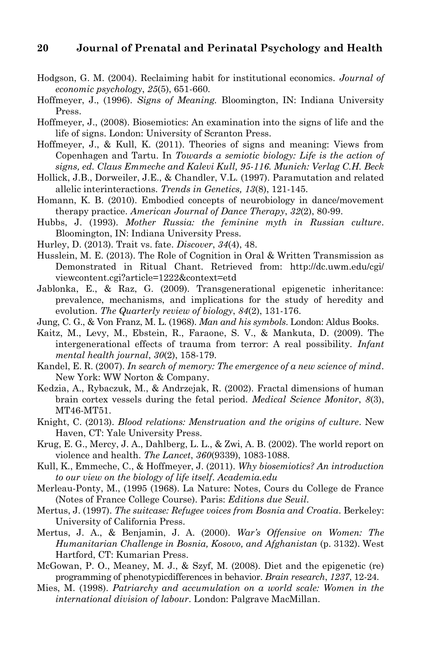- Hodgson, G. M. (2004). Reclaiming habit for institutional economics. *Journal of economic psychology*, *25*(5), 651-660.
- Hoffmeyer, J., (1996). *Signs of Meaning.* Bloomington, IN: Indiana University Press.
- Hoffmeyer, J., (2008). Biosemiotics: An examination into the signs of life and the life of signs. London: University of Scranton Press.
- Hoffmeyer, J., & Kull, K. (2011). Theories of signs and meaning: Views from Copenhagen and Tartu. In *Towards a semiotic biology: Life is the action of signs, ed. Claus Emmeche and Kalevi Kull, 95-116. Munich: Verlag C.H. Beck*
- Hollick, J.B., Dorweiler, J.E., & Chandler, V.L. (1997). Paramutation and related allelic interinteractions. *Trends in Genetics, 13*(8), 121-145.
- Homann, K. B. (2010). Embodied concepts of neurobiology in dance/movement therapy practice. *American Journal of Dance Therapy*, *32*(2), 80-99.
- Hubbs, J. (1993). *Mother Russia: the feminine myth in Russian culture*. Bloomington, IN: Indiana University Press.
- Hurley, D. (2013). Trait vs. fate. *Discover*, *34*(4), 48.
- Husslein, M. E. (2013). The Role of Cognition in Oral & Written Transmission as Demonstrated in Ritual Chant. Retrieved from: http://dc.uwm.edu/cgi/ viewcontent.cgi?article=1222&context=etd
- Jablonka, E., & Raz, G. (2009). Transgenerational epigenetic inheritance: prevalence, mechanisms, and implications for the study of heredity and evolution. *The Quarterly review of biology*, *84*(2), 131-176.
- Jung, C. G., & Von Franz, M. L. (1968). *Man and his symbols*. London: Aldus Books.
- Kaitz, M., Levy, M., Ebstein, R., Faraone, S. V., & Mankuta, D. (2009). The intergenerational effects of trauma from terror: A real possibility. *Infant mental health journal*, *30*(2), 158-179.
- Kandel, E. R. (2007). *In search of memory: The emergence of a new science of mind*. New York: WW Norton & Company.
- Kedzia, A., Rybaczuk, M., & Andrzejak, R. (2002). Fractal dimensions of human brain cortex vessels during the fetal period. *Medical Science Monitor*, *8*(3), MT46-MT51.
- Knight, C. (2013). *Blood relations: Menstruation and the origins of culture*. New Haven, CT: Yale University Press.
- Krug, E. G., Mercy, J. A., Dahlberg, L. L., & Zwi, A. B. (2002). The world report on violence and health. *The Lancet*, *360*(9339), 1083-1088.
- Kull, K., Emmeche, C., & Hoffmeyer, J. (2011). *Why biosemiotics? An introduction to our view on the biology of life itself*. *Academia.edu*
- Merleau-Ponty, M., (1995 (1968). La Nature: Notes, Cours du College de France (Notes of France College Course). Paris: *Editions due Seuil*.
- Mertus, J. (1997). *The suitcase: Refugee voices from Bosnia and Croatia*. Berkeley: University of California Press.
- Mertus, J. A., & Benjamin, J. A. (2000). *War's Offensive on Women: The Humanitarian Challenge in Bosnia, Kosovo, and Afghanistan* (p. 3132). West Hartford, CT: Kumarian Press.
- McGowan, P. O., Meaney, M. J., & Szyf, M. (2008). Diet and the epigenetic (re) programming of phenotypicdifferences in behavior. *Brain research*, *1237*, 12-24.
- Mies, M. (1998). *Patriarchy and accumulation on a world scale: Women in the international division of labour*. London: Palgrave MacMillan.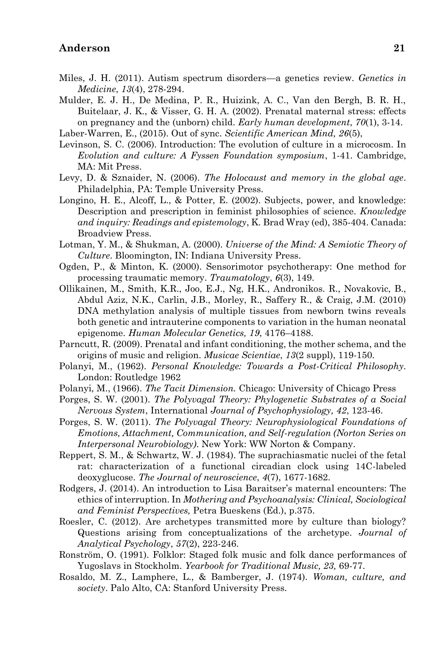- Miles, J. H. (2011). Autism spectrum disorders—a genetics review. *Genetics in Medicine*, *13*(4), 278-294.
- Mulder, E. J. H., De Medina, P. R., Huizink, A. C., Van den Bergh, B. R. H., Buitelaar, J. K., & Visser, G. H. A. (2002). Prenatal maternal stress: effects on pregnancy and the (unborn) child. *Early human development*, *70*(1), 3-14.
- Laber-Warren, E., (2015). Out of sync. *Scientific American Mind, 26*(5),
- Levinson, S. C. (2006). Introduction: The evolution of culture in a microcosm. In *Evolution and culture: A Fyssen Foundation symposium*, 1-41. Cambridge, MA: Mit Press.
- Levy, D. & Sznaider, N. (2006). *The Holocaust and memory in the global age*. Philadelphia, PA: Temple University Press.
- Longino, H. E., Alcoff, L., & Potter, E. (2002). Subjects, power, and knowledge: Description and prescription in feminist philosophies of science. *Knowledge and inquiry: Readings and epistemology*, K. Brad Wray (ed), 385-404. Canada: Broadview Press.
- Lotman, Y. M., & Shukman, A. (2000). *Universe of the Mind: A Semiotic Theory of Culture*. Bloomington, IN: Indiana University Press.
- Ogden, P., & Minton, K. (2000). Sensorimotor psychotherapy: One method for processing traumatic memory. *Traumatology*, *6*(3), 149.
- Ollikainen, M., Smith, K.R., Joo, E.J., Ng, H.K., Andronikos. R., Novakovic, B., Abdul Aziz, N.K., Carlin, J.B., Morley, R., Saffery R., & Craig, J.M. (2010) DNA methylation analysis of multiple tissues from newborn twins reveals both genetic and intrauterine components to variation in the human neonatal epigenome. *Human Molecular Genetics, 19*, 4176–4188.
- Parncutt, R. (2009). Prenatal and infant conditioning, the mother schema, and the origins of music and religion. *Musicae Scientiae*, *13*(2 suppl), 119-150.
- Polanyi, M., (1962). *Personal Knowledge: Towards a Post-Critical Philosophy.*  London: Routledge 1962
- Polanyi, M., (1966). *The Tacit Dimension.* Chicago: University of Chicago Press
- Porges, S. W. (2001). *The Polyvagal Theory: Phylogenetic Substrates of a Social Nervous System*, International *Journal of Psychophysiology, 42*, 123-46.
- Porges, S. W. (2011). *The Polyvagal Theory: Neurophysiological Foundations of Emotions, Attachment, Communication, and Self-regulation (Norton Series on Interpersonal Neurobiology)*. New York: WW Norton & Company.
- Reppert, S. M., & Schwartz, W. J. (1984). The suprachiasmatic nuclei of the fetal rat: characterization of a functional circadian clock using 14C-labeled deoxyglucose. *The Journal of neuroscience*, *4*(7), 1677-1682.
- Rodgers, J. (2014). An introduction to Lisa Baraitser's maternal encounters: The ethics of interruption. In *Mothering and Psychoanalysis: Clinical, Sociological and Feminist Perspectives,* Petra Bueskens (Ed.), p.375.
- Roesler, C. (2012). Are archetypes transmitted more by culture than biology? Questions arising from conceptualizations of the archetype. *Journal of Analytical Psychology*, *57*(2), 223-246.
- Ronström, O. (1991). Folklor: Staged folk music and folk dance performances of Yugoslavs in Stockholm. *Yearbook for Traditional Music, 23,* 69-77.
- Rosaldo, M. Z., Lamphere, L., & Bamberger, J. (1974). *Woman, culture, and society*. Palo Alto, CA: Stanford University Press.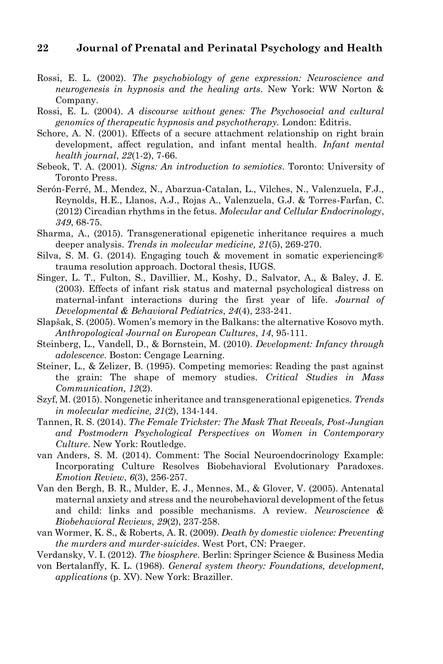- Rossi, E. L. (2002). *The psychobiology of gene expression: Neuroscience and neurogenesis in hypnosis and the healing arts*. New York: WW Norton & Company.
- Rossi, E. L. (2004). *A discourse without genes: The Psychosocial and cultural genomics of therapeutic hypnosis and psychotherapy.* London: Editris.
- Schore, A. N. (2001). Effects of a secure attachment relationship on right brain development, affect regulation, and infant mental health. *Infant mental health journal*, *22*(1-2), 7-66.
- Sebeok, T. A. (2001). *Signs: An introduction to semiotics*. Toronto: University of Toronto Press.
- Serón-Ferré, M., Mendez, N., Abarzua-Catalan, L., Vilches, N., Valenzuela, F.J., Reynolds, H.E., Llanos, A.J., Rojas A., Valenzuela, G.J. & Torres-Farfan, C. (2012) Circadian rhythms in the fetus. *Molecular and Cellular Endocrinology*, *349*, 68-75.
- Sharma, A., (2015). Transgenerational epigenetic inheritance requires a much deeper analysis. *Trends in molecular medicine, 21*(5), 269-270.
- Silva, S. M. G. (2014). Engaging touch & movement in somatic experiencing® trauma resolution approach. Doctoral thesis, IUGS.
- Singer, L. T., Fulton, S., Davillier, M., Koshy, D., Salvator, A., & Baley, J. E. (2003). Effects of infant risk status and maternal psychological distress on maternal-infant interactions during the first year of life. *Journal of Developmental & Behavioral Pediatrics*, *24*(4), 233-241.
- Slapšak, S. (2005). Women's memory in the Balkans: the alternative Kosovo myth. *Anthropological Journal on European Cultures*, *14*, 95-111.
- Steinberg, L., Vandell, D., & Bornstein, M. (2010). *Development: Infancy through adolescence*. Boston: Cengage Learning.
- Steiner, L., & Zelizer, B. (1995). Competing memories: Reading the past against the grain: The shape of memory studies. *Critical Studies in Mass Communication, 12*(2).
- Szyf, M. (2015). Nongenetic inheritance and transgenerational epigenetics. *Trends in molecular medicine, 21*(2), 134-144.
- Tannen, R. S. (2014). *The Female Trickster: The Mask That Reveals, Post-Jungian and Postmodern Psychological Perspectives on Women in Contemporary Culture*. New York: Routledge.
- van Anders, S. M. (2014). Comment: The Social Neuroendocrinology Example: Incorporating Culture Resolves Biobehavioral Evolutionary Paradoxes. *Emotion Review*, *6*(3), 256-257.
- Van den Bergh, B. R., Mulder, E. J., Mennes, M., & Glover, V. (2005). Antenatal maternal anxiety and stress and the neurobehavioral development of the fetus and child: links and possible mechanisms. A review. *Neuroscience & Biobehavioral Reviews*, *29*(2), 237-258.
- van Wormer, K. S., & Roberts, A. R. (2009). *Death by domestic violence: Preventing the murders and murder-suicides*. West Port, CN: Praeger.

Verdansky, V. I. (2012). *The biosphere*. Berlin: Springer Science & Business Media

von Bertalanffy, K. L. (1968). *General system theory: Foundations, development, applications* (p. XV). New York: Braziller.